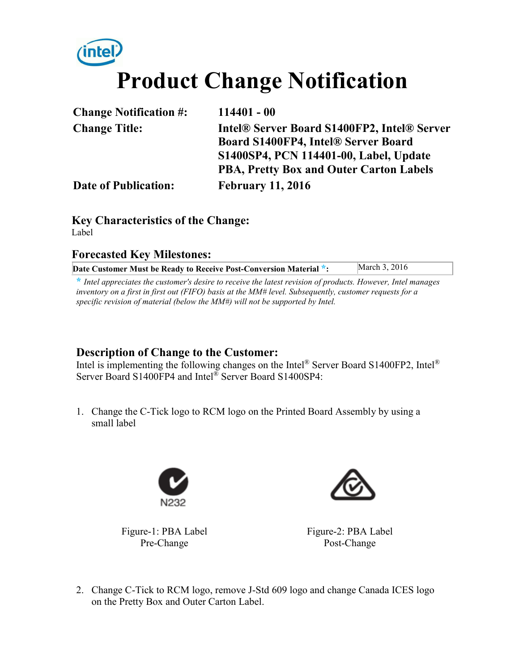# **Product Change Notification**

| <b>Change Notification #:</b> | $114401 - 00$                               |
|-------------------------------|---------------------------------------------|
| <b>Change Title:</b>          | Intel® Server Board S1400FP2, Intel® Server |
|                               | Board S1400FP4, Intel® Server Board         |
|                               | S1400SP4, PCN 114401-00, Label, Update      |
|                               | PBA, Pretty Box and Outer Carton Labels     |
| <b>Date of Publication:</b>   | <b>February 11, 2016</b>                    |

#### **Key Characteristics of the Change:**  Label

#### **Forecasted Key Milestones:**

| Date Customer Must be Ready to Receive Post-Conversion Material *: | March 3, 2016 |
|--------------------------------------------------------------------|---------------|
|                                                                    |               |

**\*** *Intel appreciates the customer's desire to receive the latest revision of products. However, Intel manages inventory on a first in first out (FIFO) basis at the MM# level. Subsequently, customer requests for a specific revision of material (below the MM#) will not be supported by Intel.*

#### **Description of Change to the Customer:**

Intel is implementing the following changes on the Intel® Server Board S1400FP2, Intel® Server Board S1400FP4 and Intel® Server Board S1400SP4:

1. Change the C-Tick logo to RCM logo on the Printed Board Assembly by using a small label



Figure-1: PBA Label Pre-Change



Figure-2: PBA Label Post-Change

2. Change C-Tick to RCM logo, remove J-Std 609 logo and change Canada ICES logo on the Pretty Box and Outer Carton Label.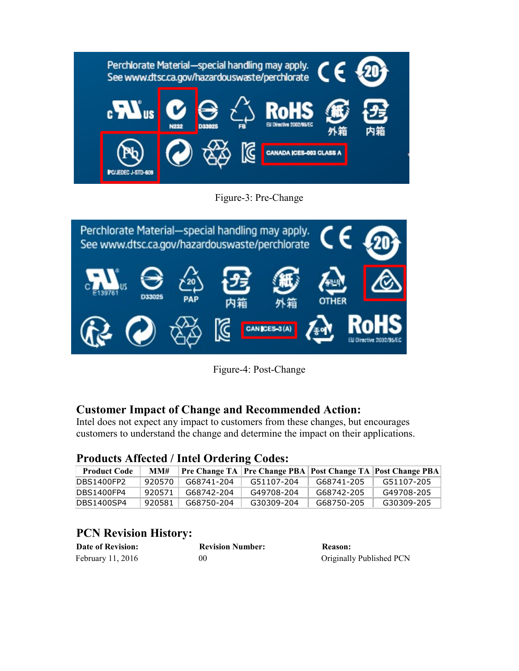

Figure-3: Pre-Change



Figure-4: Post-Change

## **Customer Impact of Change and Recommended Action:**

Intel does not expect any impact to customers from these changes, but encourages customers to understand the change and determine the impact on their applications.

### **Products Affected / Intel Ordering Codes:**

| <b>Product Code</b> | MM#    |            |            |            | Pre Change TA   Pre Change PBA   Post Change TA   Post Change PBA |
|---------------------|--------|------------|------------|------------|-------------------------------------------------------------------|
| DBS1400FP2          | 920570 | G68741-204 | G51107-204 | G68741-205 | G51107-205                                                        |
| DBS1400FP4          | 920571 | G68742-204 | G49708-204 | G68742-205 | G49708-205                                                        |
| DBS1400SP4          | 920581 | G68750-204 | G30309-204 | G68750-205 | G30309-205                                                        |

## **PCN Revision History:**

| <b>Date of Revision:</b> | <b>Revision Number:</b> | <b>Reason:</b>           |
|--------------------------|-------------------------|--------------------------|
| February 11, 2016        | 00                      | Originally Published PCN |